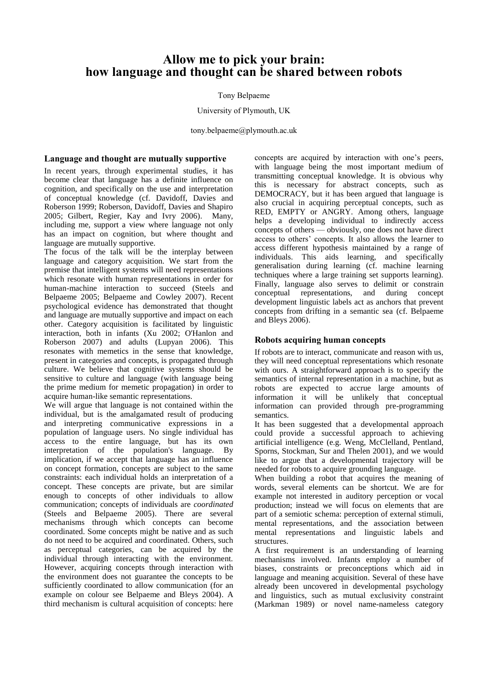# **Allow me to pick your brain: how language and thought can be shared between robots**

### Tony Belpaeme

#### University of Plymouth, UK

tony.belpaeme@plymouth.ac.uk

## **Language and thought are mutually supportive**

In recent years, through experimental studies, it has become clear that language has a definite influence on cognition, and specifically on the use and interpretation of conceptual knowledge (cf. Davidoff, Davies and Roberson 1999; Roberson, Davidoff, Davies and Shapiro 2005; Gilbert, Regier, Kay and Ivry 2006). Many, including me, support a view where language not only has an impact on cognition, but where thought and language are mutually supportive.

The focus of the talk will be the interplay between language and category acquisition. We start from the premise that intelligent systems will need representations which resonate with human representations in order for human-machine interaction to succeed (Steels and Belpaeme 2005; Belpaeme and Cowley 2007). Recent psychological evidence has demonstrated that thought and language are mutually supportive and impact on each other. Category acquisition is facilitated by linguistic interaction, both in infants (Xu 2002; O'Hanlon and Roberson 2007) and adults (Lupyan 2006). This resonates with memetics in the sense that knowledge, present in categories and concepts, is propagated through culture. We believe that cognitive systems should be sensitive to culture and language (with language being the prime medium for memetic propagation) in order to acquire human-like semantic representations.

We will argue that language is not contained within the individual, but is the amalgamated result of producing and interpreting communicative expressions in a population of language users. No single individual has access to the entire language, but has its own interpretation of the population's language. By implication, if we accept that language has an influence on concept formation, concepts are subject to the same constraints: each individual holds an interpretation of a concept. These concepts are private, but are similar enough to concepts of other individuals to allow communication; concepts of individuals are *coordinated* (Steels and Belpaeme 2005). There are several mechanisms through which concepts can become coordinated. Some concepts might be native and as such do not need to be acquired and coordinated. Others, such as perceptual categories, can be acquired by the individual through interacting with the environment. However, acquiring concepts through interaction with the environment does not guarantee the concepts to be sufficiently coordinated to allow communication (for an example on colour see Belpaeme and Bleys 2004). A third mechanism is cultural acquisition of concepts: here

concepts are acquired by interaction with one's peers, with language being the most important medium of transmitting conceptual knowledge. It is obvious why this is necessary for abstract concepts, such as DEMOCRACY, but it has been argued that language is also crucial in acquiring perceptual concepts, such as RED, EMPTY or ANGRY. Among others, language helps a developing individual to indirectly access concepts of others — obviously, one does not have direct access to others' concepts. It also allows the learner to access different hypothesis maintained by a range of individuals. This aids learning, and specifically generalisation during learning (cf. machine learning techniques where a large training set supports learning). Finally, language also serves to delimit or constrain conceptual representations, and during concept development linguistic labels act as anchors that prevent concepts from drifting in a semantic sea (cf. Belpaeme and Bleys 2006).

# **Robots acquiring human concepts**

If robots are to interact, communicate and reason with us, they will need conceptual representations which resonate with ours. A straightforward approach is to specify the semantics of internal representation in a machine, but as robots are expected to accrue large amounts of information it will be unlikely that conceptual information can provided through pre-programming semantics.

It has been suggested that a developmental approach could provide a successful approach to achieving artificial intelligence (e.g. Weng, McClelland, Pentland, Sporns, Stockman, Sur and Thelen 2001), and we would like to argue that a developmental trajectory will be needed for robots to acquire grounding language.

When building a robot that acquires the meaning of words, several elements can be shortcut. We are for example not interested in auditory perception or vocal production; instead we will focus on elements that are part of a semiotic schema: perception of external stimuli, mental representations, and the association between mental representations and linguistic labels and structures.

A first requirement is an understanding of learning mechanisms involved. Infants employ a number of biases, constraints or preconceptions which aid in language and meaning acquisition. Several of these have already been uncovered in developmental psychology and linguistics, such as mutual exclusivity constraint (Markman 1989) or novel name-nameless category